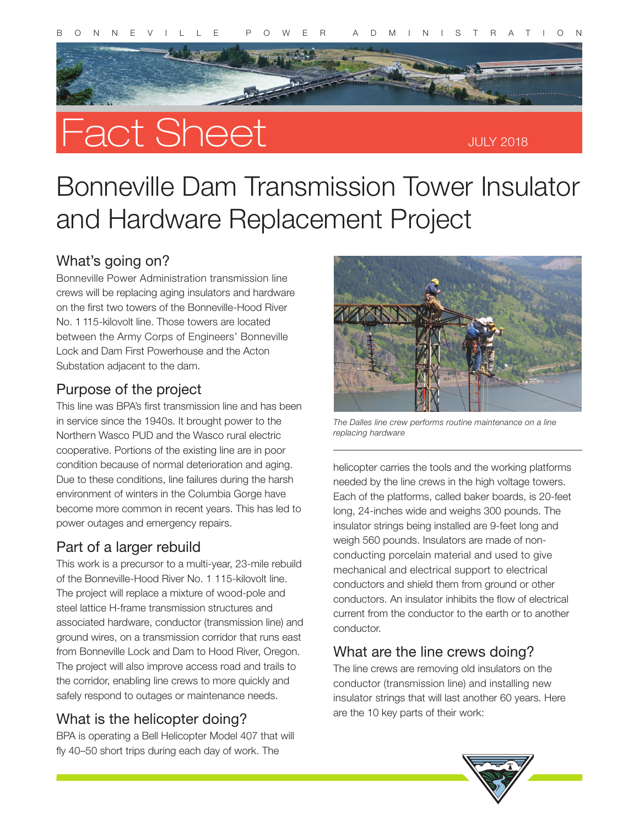

# Fact Sheet

# Bonneville Dam Transmission Tower Insulator and Hardware Replacement Project

## What's going on?

Bonneville Power Administration transmission line crews will be replacing aging insulators and hardware on the first two towers of the Bonneville-Hood River No. 1 115-kilovolt line. Those towers are located between the Army Corps of Engineers' Bonneville Lock and Dam First Powerhouse and the Acton Substation adjacent to the dam.

#### Purpose of the project

This line was BPA's first transmission line and has been in service since the 1940s. It brought power to the Northern Wasco PUD and the Wasco rural electric cooperative. Portions of the existing line are in poor condition because of normal deterioration and aging. Due to these conditions, line failures during the harsh environment of winters in the Columbia Gorge have become more common in recent years. This has led to power outages and emergency repairs.

### Part of a larger rebuild

This work is a precursor to a multi-year, 23-mile rebuild of the Bonneville-Hood River No. 1 115-kilovolt line. The project will replace a mixture of wood-pole and steel lattice H-frame transmission structures and associated hardware, conductor (transmission line) and ground wires, on a transmission corridor that runs east from Bonneville Lock and Dam to Hood River, Oregon. The project will also improve access road and trails to the corridor, enabling line crews to more quickly and safely respond to outages or maintenance needs.

# What is the helicopter doing?

BPA is operating a Bell Helicopter Model 407 that will fly 40–50 short trips during each day of work. The



*The Dalles line crew performs routine maintenance on a line replacing hardware*

helicopter carries the tools and the working platforms needed by the line crews in the high voltage towers. Each of the platforms, called baker boards, is 20-feet long, 24-inches wide and weighs 300 pounds. The insulator strings being installed are 9-feet long and weigh 560 pounds. Insulators are made of nonconducting porcelain material and used to give mechanical and electrical support to electrical conductors and shield them from ground or other conductors. An insulator inhibits the flow of electrical current from the conductor to the earth or to another conductor.

### What are the line crews doing?

The line crews are removing old insulators on the conductor (transmission line) and installing new insulator strings that will last another 60 years. Here are the 10 key parts of their work: